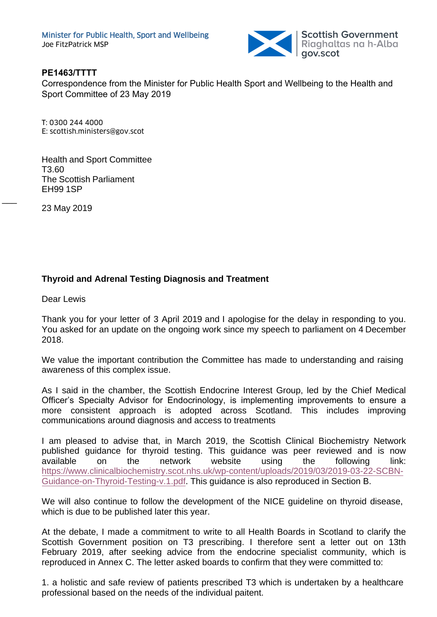

#### **PE1463/TTTT**

Correspondence from the Minister for Public Health Sport and Wellbeing to the Health and Sport Committee of 23 May 2019

T: 0300 244 4000 E: scottish.ministers@gov.scot

Health and Sport Committee T3.60 The Scottish Parliament EH99 1SP

23 May 2019

 $\overline{\phantom{a}}$ 

# **Thyroid and Adrenal Testing Diagnosis and Treatment**

Dear Lewis

Thank you for your letter of 3 April 2019 and I apologise for the delay in responding to you. You asked for an update on the ongoing work since my speech to parliament on 4 December 2018.

We value the important contribution the Committee has made to understanding and raising awareness of this complex issue.

As I said in the chamber, the Scottish Endocrine Interest Group, led by the Chief Medical Officer's Specialty Advisor for Endocrinology, is implementing improvements to ensure a more consistent approach is adopted across Scotland. This includes improving [communications around diagnosis and access to treatments](https://www.clinicalbiochemistry.scot.nhs.uk/wp-content/uploads/2019/03/2019-03-22-SCBN-Guidance-on-Thyroid-Testing-v.1.pdf) 

I am pleased to advise that, in March 2019, the Scottish Clinical Biochemistry Network published guidance for thyroid testing. This guidance was peer reviewed and is now available on the network website using the following link: https://www.clinicalbiochemistry.scot.nhs.uk/wp-content/uploads/2019/03/2019-03-22-SCBN-Guidance-on-Thyroid-Testing-v.1.pdf. This guidance is also reproduced in Section B.

We will also continue to follow the development of the NICE guideline on thyroid disease, which is due to be published later this year.

At the debate, I made a commitment to write to all Health Boards in Scotland to clarify the Scottish Government position on T3 prescribing. I therefore sent a letter out on 13th February 2019, after seeking advice from the endocrine specialist community, which is reproduced in Annex C. The letter asked boards to confirm that they were committed to:

1. a holistic and safe review of patients prescribed T3 which is undertaken by a healthcare professional based on the needs of the individual paitent.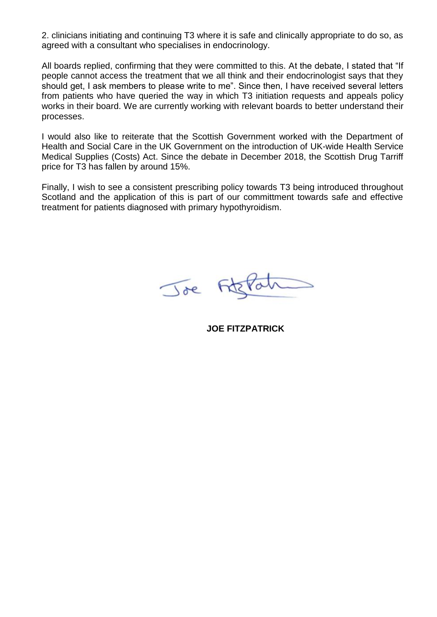2. clinicians initiating and continuing T3 where it is safe and clinically appropriate to do so, as agreed with a consultant who specialises in endocrinology.

All boards replied, confirming that they were committed to this. At the debate, I stated that "If people cannot access the treatment that we all think and their endocrinologist says that they should get, I ask members to please write to me". Since then, I have received several letters from patients who have queried the way in which T3 initiation requests and appeals policy works in their board. We are currently working with relevant boards to better understand their processes.

I would also like to reiterate that the Scottish Government worked with the Department of Health and Social Care in the UK Government on the introduction of UK-wide Health Service Medical Supplies (Costs) Act. Since the debate in December 2018, the Scottish Drug Tarriff price for T3 has fallen by around 15%.

Finally, I wish to see a consistent prescribing policy towards T3 being introduced throughout Scotland and the application of this is part of our committment towards safe and effective treatment for patients diagnosed with primary hypothyroidism.



**JOE FITZPATRICK**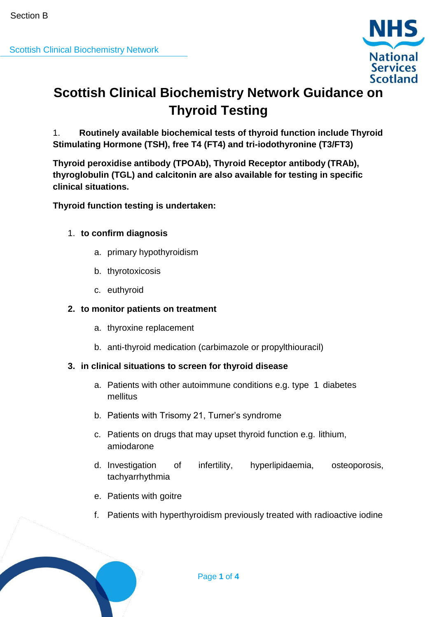

# **Scottish Clinical Biochemistry Network Guidance on Thyroid Testing**

1. **Routinely available biochemical tests of thyroid function include Thyroid Stimulating Hormone (TSH), free T4 (FT4) and tri-iodothyronine (T3/FT3)**

**Thyroid peroxidise antibody (TPOAb), Thyroid Receptor antibody (TRAb), thyroglobulin (TGL) and calcitonin are also available for testing in specific clinical situations.**

**Thyroid function testing is undertaken:**

# 1. **to confirm diagnosis**

- a. primary hypothyroidism
- b. thyrotoxicosis
- c. euthyroid

# **2. to monitor patients on treatment**

- a. thyroxine replacement
- b. anti-thyroid medication (carbimazole or propylthiouracil)

# **3. in clinical situations to screen for thyroid disease**

- a. Patients with other autoimmune conditions e.g. type 1 diabetes mellitus
- b. Patients with Trisomy 21, Turner's syndrome
- c. Patients on drugs that may upset thyroid function e.g. lithium, amiodarone
- d. Investigation of infertility, hyperlipidaemia, osteoporosis, tachyarrhythmia
- e. Patients with goitre
- f. Patients with hyperthyroidism previously treated with radioactive iodine

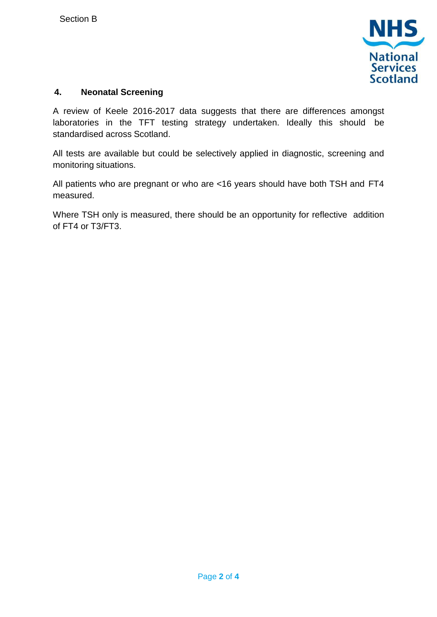

#### **4. Neonatal Screening**

A review of Keele 2016-2017 data suggests that there are differences amongst laboratories in the TFT testing strategy undertaken. Ideally this should be standardised across Scotland.

All tests are available but could be selectively applied in diagnostic, screening and monitoring situations.

All patients who are pregnant or who are <16 years should have both TSH and FT4 measured.

Where TSH only is measured, there should be an opportunity for reflective addition of FT4 or T3/FT3.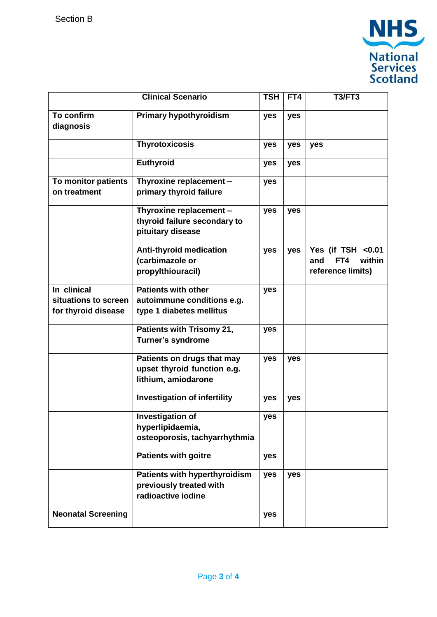

| <b>Clinical Scenario</b>                                   |                                                                                       | <b>TSH</b> | FT4 | T3/FT3                                                         |
|------------------------------------------------------------|---------------------------------------------------------------------------------------|------------|-----|----------------------------------------------------------------|
| To confirm<br>diagnosis                                    | <b>Primary hypothyroidism</b>                                                         | yes        | yes |                                                                |
|                                                            | <b>Thyrotoxicosis</b>                                                                 | yes        | yes | yes                                                            |
|                                                            | <b>Euthyroid</b>                                                                      | yes        | yes |                                                                |
| To monitor patients<br>on treatment                        | Thyroxine replacement -<br>primary thyroid failure                                    | yes        |     |                                                                |
|                                                            | Thyroxine replacement -<br>thyroid failure secondary to<br>pituitary disease          | yes        | yes |                                                                |
|                                                            | <b>Anti-thyroid medication</b><br>(carbimazole or<br>propylthiouracil)                | yes        | yes | Yes (if TSH <0.01<br>within<br>and<br>FT4<br>reference limits) |
| In clinical<br>situations to screen<br>for thyroid disease | <b>Patients with other</b><br>autoimmune conditions e.g.<br>type 1 diabetes mellitus  | yes        |     |                                                                |
|                                                            | Patients with Trisomy 21,<br><b>Turner's syndrome</b>                                 | yes        |     |                                                                |
|                                                            | Patients on drugs that may<br>upset thyroid function e.g.<br>lithium, amiodarone      | yes        | yes |                                                                |
|                                                            | <b>Investigation of infertility</b>                                                   | yes        | yes |                                                                |
|                                                            | <b>Investigation of</b><br>hyperlipidaemia,<br>osteoporosis, tachyarrhythmia          | yes        |     |                                                                |
|                                                            | <b>Patients with goitre</b>                                                           | yes        |     |                                                                |
|                                                            | <b>Patients with hyperthyroidism</b><br>previously treated with<br>radioactive iodine | yes        | yes |                                                                |
| <b>Neonatal Screening</b>                                  |                                                                                       | yes        |     |                                                                |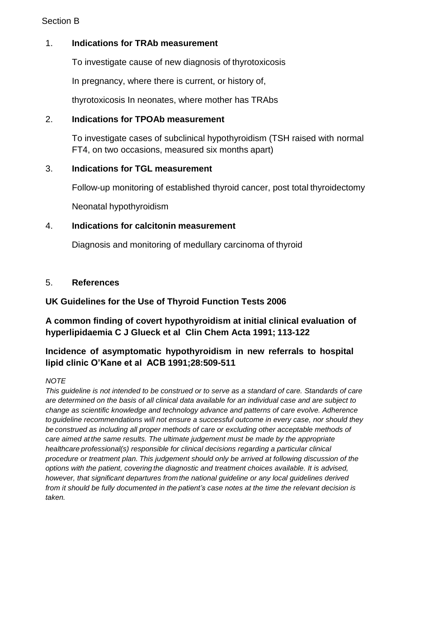#### Section B

# 1. **Indications for TRAb measurement**

To investigate cause of new diagnosis of thyrotoxicosis

In pregnancy, where there is current, or history of,

thyrotoxicosis In neonates, where mother has TRAbs

#### 2. **Indications for TPOAb measurement**

To investigate cases of subclinical hypothyroidism (TSH raised with normal FT4, on two occasions, measured six months apart)

#### 3. **Indications for TGL measurement**

Follow-up monitoring of established thyroid cancer, post total thyroidectomy

Neonatal hypothyroidism

#### 4. **Indications for calcitonin measurement**

Diagnosis and monitoring of medullary carcinoma of thyroid

#### 5. **References**

# **UK Guidelines for the Use of Thyroid Function Tests 2006**

# **A common finding of covert hypothyroidism at initial clinical evaluation of hyperlipidaemia C J Glueck et al Clin Chem Acta 1991; 113-122**

# **Incidence of asymptomatic hypothyroidism in new referrals to hospital lipid clinic O'Kane et al ACB 1991;28:509-511**

#### *NOTE*

*This guideline is not intended to be construed or to serve as a standard of care. Standards of care are determined on the basis of all clinical data available for an individual case and are subject to change as scientific knowledge and technology advance and patterns of care evolve. Adherence to guideline recommendations will not ensure a successful outcome in every case, nor should they be construed as including all proper methods of care or excluding other acceptable methods of care aimed at the same results. The ultimate judgement must be made by the appropriate healthcare professional(s) responsible for clinical decisions regarding a particular clinical procedure or treatment plan. This judgement should only be arrived at following discussion of the options with the patient, covering the diagnostic and treatment choices available. It is advised, however, that significant departures from the national guideline or any local guidelines derived from it should be fully documented in the patient's case notes at the time the relevant decision is taken.*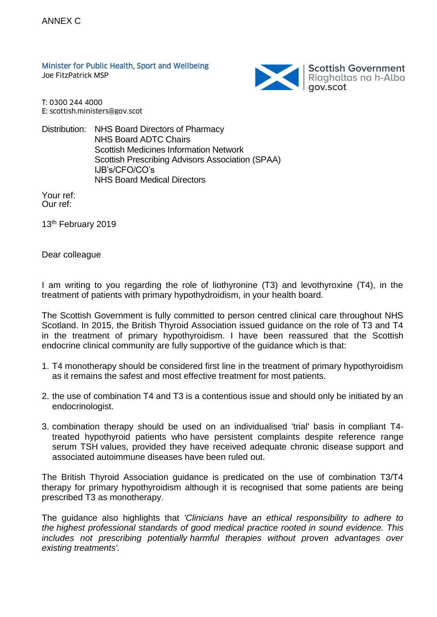Minister for Public Health, Sport and Wellbeing Joe FitzPatrick MSP



T: 0300 244 4000 E: scottish.ministers@gov.scot

Distribution: NHS Board Directors of Pharmacy NHS Board ADTC Chairs Scottish Medicines Information Network Scottish Prescribing Advisors Association (SPAA) IJB's/CFO/CO's NHS Board Medical Directors

Your ref: Our ref:

13<sup>th</sup> February 2019

Dear colleague

I am writing to you regarding the role of liothyronine (T3) and levothyroxine (T4), in the treatment of patients with primary hypothydroidism, in your health board.

The Scottish Government is fully committed to person centred clinical care throughout NHS Scotland. In 2015, the British Thyroid Association issued guidance on the role of T3 and T4 in the treatment of primary hypothyroidism. I have been reassured that the Scottish endocrine clinical community are fully supportive of the guidance which is that:

- 1. T4 monotherapy should be considered first line in the treatment of primary hypothyroidism as it remains the safest and most effective treatment for most patients.
- 2. the use of combination T4 and T3 is a contentious issue and should only be initiated by an endocrinologist.
- 3. combination therapy should be used on an individualised 'trial' basis in compliant T4 treated hypothyroid patients who have persistent complaints despite reference range serum TSH values, provided they have received adequate chronic disease support and associated autoimmune diseases have been ruled out.

The British Thyroid Association guidance is predicated on the use of combination T3/T4 therapy for primary hypothyroidism although it is recognised that some patients are being prescribed T3 as monotherapy.

The guidance also highlights that *'Clinicians have an ethical responsibility to adhere to the highest professional standards of good medical practice rooted in sound evidence. This includes not prescribing potentially harmful therapies without proven advantages over existing treatments'.*